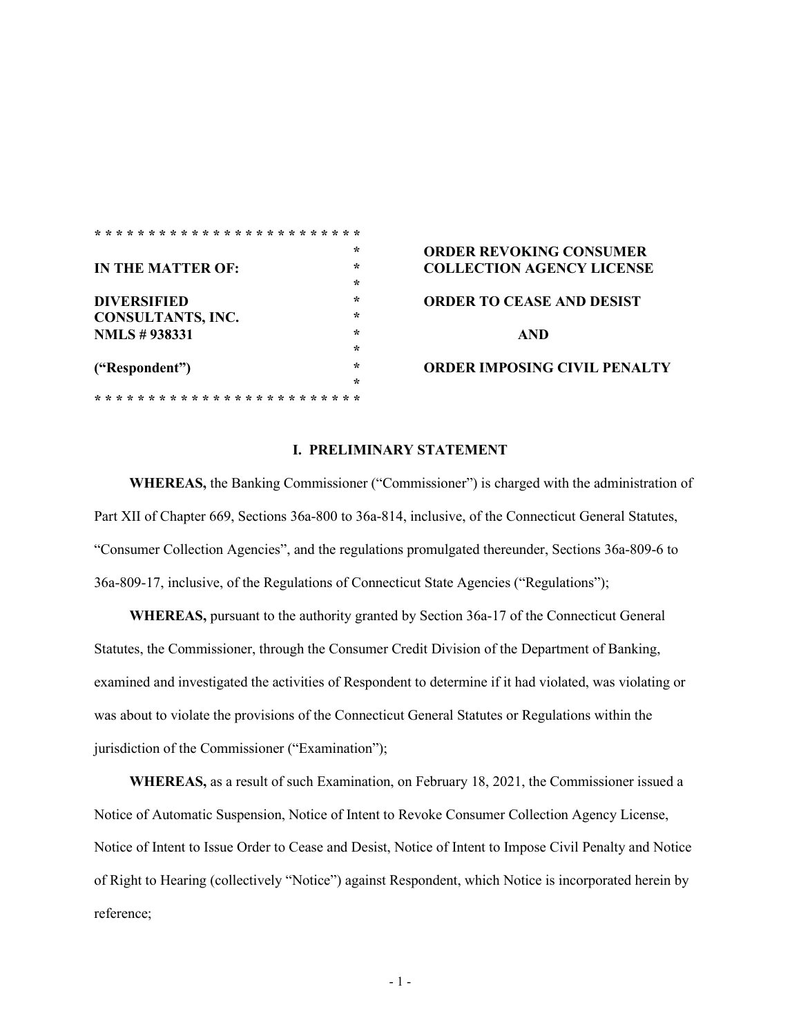| <b>IN THE MATTER OF:</b> | $\star$ | <b>ORDER REVOKIN</b>  |
|--------------------------|---------|-----------------------|
|                          | ÷       | <b>COLLECTION AGI</b> |
|                          | ÷       |                       |
| <b>DIVERSIFIED</b>       | ÷       | <b>ORDER TO CEASE</b> |
| <b>CONSULTANTS, INC.</b> | ÷       |                       |
| <b>NMLS #938331</b>      | ÷       | <b>AND</b>            |
|                          | ÷       |                       |
| ("Respondent")           | ÷       | <b>ORDER IMPOSING</b> |
|                          | ÷       |                       |
|                          |         |                       |

**\* \* \* \* \* \* \* \* \* \* \* \* \* \* \* \* \* \* \* \* \* \* \* \* \***

# **\* ORDER REVOKING CONSUMER IN THE COLLECTION AGENCY LICENSE ORDER TO CEASE AND DESIST**

## **("Respondent") \* ORDER IMPOSING CIVIL PENALTY**

## **I. PRELIMINARY STATEMENT**

**WHEREAS,** the Banking Commissioner ("Commissioner") is charged with the administration of Part XII of Chapter 669, Sections 36a-800 to 36a-814, inclusive, of the Connecticut General Statutes, "Consumer Collection Agencies", and the regulations promulgated thereunder, Sections 36a-809-6 to 36a-809-17, inclusive, of the Regulations of Connecticut State Agencies ("Regulations");

**WHEREAS,** pursuant to the authority granted by Section 36a-17 of the Connecticut General Statutes, the Commissioner, through the Consumer Credit Division of the Department of Banking, examined and investigated the activities of Respondent to determine if it had violated, was violating or was about to violate the provisions of the Connecticut General Statutes or Regulations within the jurisdiction of the Commissioner ("Examination");

**WHEREAS,** as a result of such Examination, on February 18, 2021, the Commissioner issued a Notice of Automatic Suspension, Notice of Intent to Revoke Consumer Collection Agency License, Notice of Intent to Issue Order to Cease and Desist, Notice of Intent to Impose Civil Penalty and Notice of Right to Hearing (collectively "Notice") against Respondent, which Notice is incorporated herein by reference;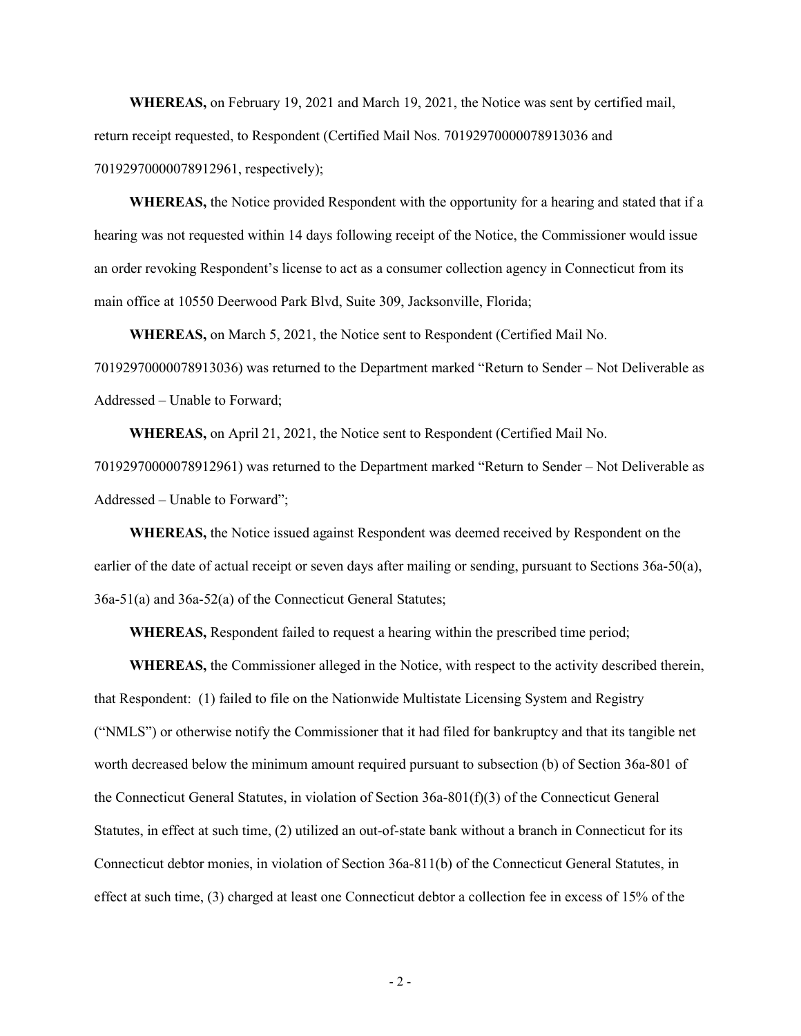**WHEREAS,** on February 19, 2021 and March 19, 2021, the Notice was sent by certified mail, return receipt requested, to Respondent (Certified Mail Nos. 70192970000078913036 and 70192970000078912961, respectively);

**WHEREAS,** the Notice provided Respondent with the opportunity for a hearing and stated that if a hearing was not requested within 14 days following receipt of the Notice, the Commissioner would issue an order revoking Respondent's license to act as a consumer collection agency in Connecticut from its main office at 10550 Deerwood Park Blvd, Suite 309, Jacksonville, Florida;

**WHEREAS,** on March 5, 2021, the Notice sent to Respondent (Certified Mail No. 70192970000078913036) was returned to the Department marked "Return to Sender – Not Deliverable as Addressed – Unable to Forward;

**WHEREAS,** on April 21, 2021, the Notice sent to Respondent (Certified Mail No.

70192970000078912961) was returned to the Department marked "Return to Sender – Not Deliverable as Addressed – Unable to Forward";

**WHEREAS,** the Notice issued against Respondent was deemed received by Respondent on the earlier of the date of actual receipt or seven days after mailing or sending, pursuant to Sections 36a-50(a), 36a-51(a) and 36a-52(a) of the Connecticut General Statutes;

**WHEREAS,** Respondent failed to request a hearing within the prescribed time period;

**WHEREAS,** the Commissioner alleged in the Notice, with respect to the activity described therein, that Respondent: (1) failed to file on the Nationwide Multistate Licensing System and Registry ("NMLS") or otherwise notify the Commissioner that it had filed for bankruptcy and that its tangible net worth decreased below the minimum amount required pursuant to subsection (b) of Section 36a-801 of the Connecticut General Statutes, in violation of Section 36a-801(f)(3) of the Connecticut General Statutes, in effect at such time, (2) utilized an out-of-state bank without a branch in Connecticut for its Connecticut debtor monies, in violation of Section 36a-811(b) of the Connecticut General Statutes, in effect at such time, (3) charged at least one Connecticut debtor a collection fee in excess of 15% of the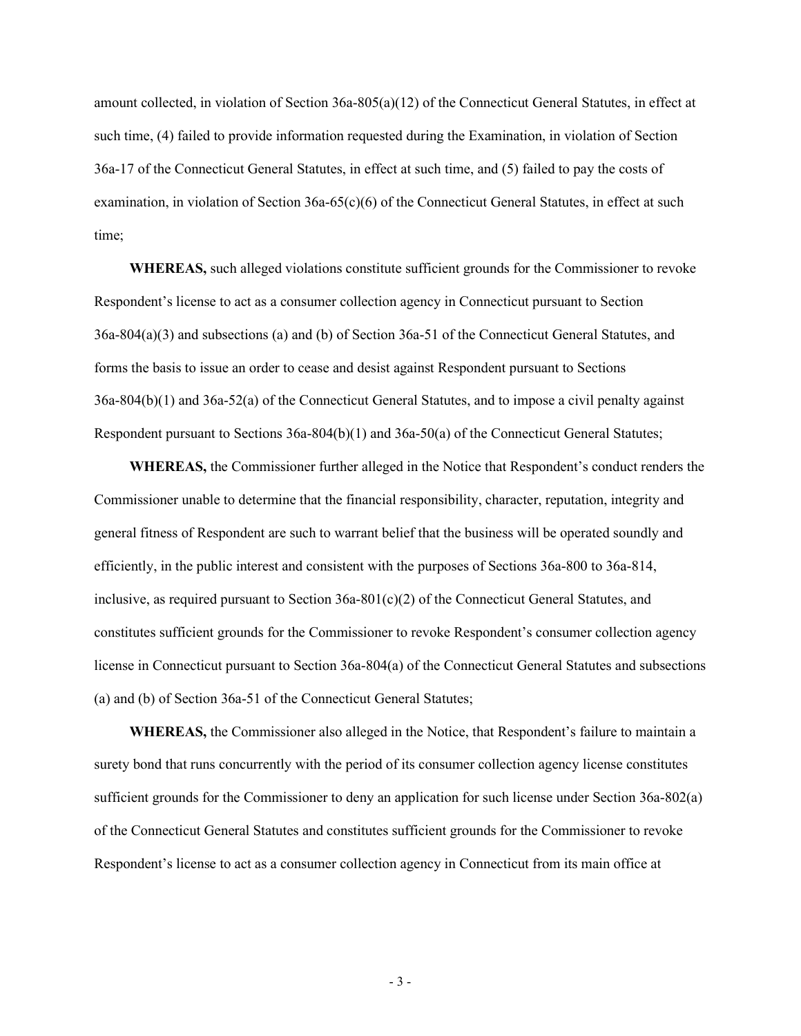amount collected, in violation of Section 36a-805(a)(12) of the Connecticut General Statutes, in effect at such time, (4) failed to provide information requested during the Examination, in violation of Section 36a-17 of the Connecticut General Statutes, in effect at such time, and (5) failed to pay the costs of examination, in violation of Section  $36a-65(c)(6)$  of the Connecticut General Statutes, in effect at such time;

**WHEREAS,** such alleged violations constitute sufficient grounds for the Commissioner to revoke Respondent's license to act as a consumer collection agency in Connecticut pursuant to Section 36a-804(a)(3) and subsections (a) and (b) of Section 36a-51 of the Connecticut General Statutes, and forms the basis to issue an order to cease and desist against Respondent pursuant to Sections 36a-804(b)(1) and 36a-52(a) of the Connecticut General Statutes, and to impose a civil penalty against Respondent pursuant to Sections 36a-804(b)(1) and 36a-50(a) of the Connecticut General Statutes;

**WHEREAS,** the Commissioner further alleged in the Notice that Respondent's conduct renders the Commissioner unable to determine that the financial responsibility, character, reputation, integrity and general fitness of Respondent are such to warrant belief that the business will be operated soundly and efficiently, in the public interest and consistent with the purposes of Sections 36a-800 to 36a-814, inclusive, as required pursuant to Section  $36a-801(c)(2)$  of the Connecticut General Statutes, and constitutes sufficient grounds for the Commissioner to revoke Respondent's consumer collection agency license in Connecticut pursuant to Section 36a-804(a) of the Connecticut General Statutes and subsections (a) and (b) of Section 36a-51 of the Connecticut General Statutes;

**WHEREAS,** the Commissioner also alleged in the Notice, that Respondent's failure to maintain a surety bond that runs concurrently with the period of its consumer collection agency license constitutes sufficient grounds for the Commissioner to deny an application for such license under Section 36a-802(a) of the Connecticut General Statutes and constitutes sufficient grounds for the Commissioner to revoke Respondent's license to act as a consumer collection agency in Connecticut from its main office at

- 3 -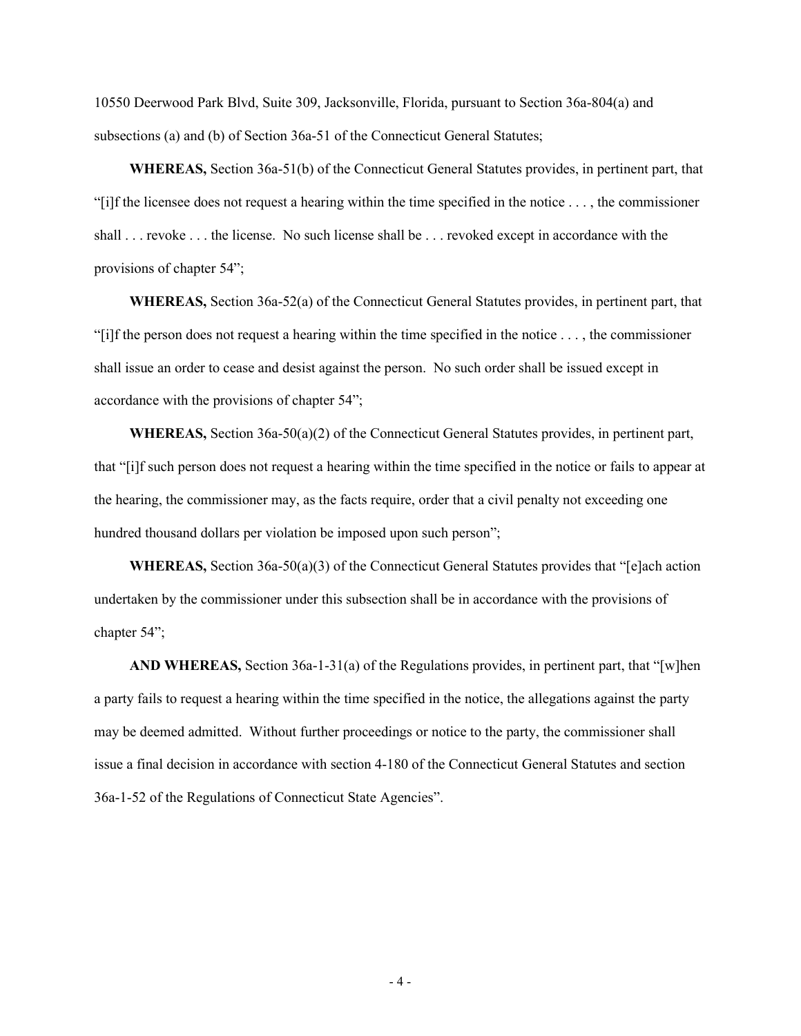10550 Deerwood Park Blvd, Suite 309, Jacksonville, Florida, pursuant to Section 36a-804(a) and subsections (a) and (b) of Section 36a-51 of the Connecticut General Statutes;

**WHEREAS,** Section 36a-51(b) of the Connecticut General Statutes provides, in pertinent part, that "[i]f the licensee does not request a hearing within the time specified in the notice . . . , the commissioner shall . . . revoke . . . the license. No such license shall be . . . revoked except in accordance with the provisions of chapter 54";

**WHEREAS,** Section 36a-52(a) of the Connecticut General Statutes provides, in pertinent part, that "[i]f the person does not request a hearing within the time specified in the notice . . . , the commissioner shall issue an order to cease and desist against the person. No such order shall be issued except in accordance with the provisions of chapter 54";

**WHEREAS,** Section 36a-50(a)(2) of the Connecticut General Statutes provides, in pertinent part, that "[i]f such person does not request a hearing within the time specified in the notice or fails to appear at the hearing, the commissioner may, as the facts require, order that a civil penalty not exceeding one hundred thousand dollars per violation be imposed upon such person";

**WHEREAS,** Section 36a-50(a)(3) of the Connecticut General Statutes provides that "[e]ach action undertaken by the commissioner under this subsection shall be in accordance with the provisions of chapter 54";

**AND WHEREAS,** Section 36a-1-31(a) of the Regulations provides, in pertinent part, that "[w]hen a party fails to request a hearing within the time specified in the notice, the allegations against the party may be deemed admitted. Without further proceedings or notice to the party, the commissioner shall issue a final decision in accordance with section 4-180 of the Connecticut General Statutes and section 36a-1-52 of the Regulations of Connecticut State Agencies".

 $-4-$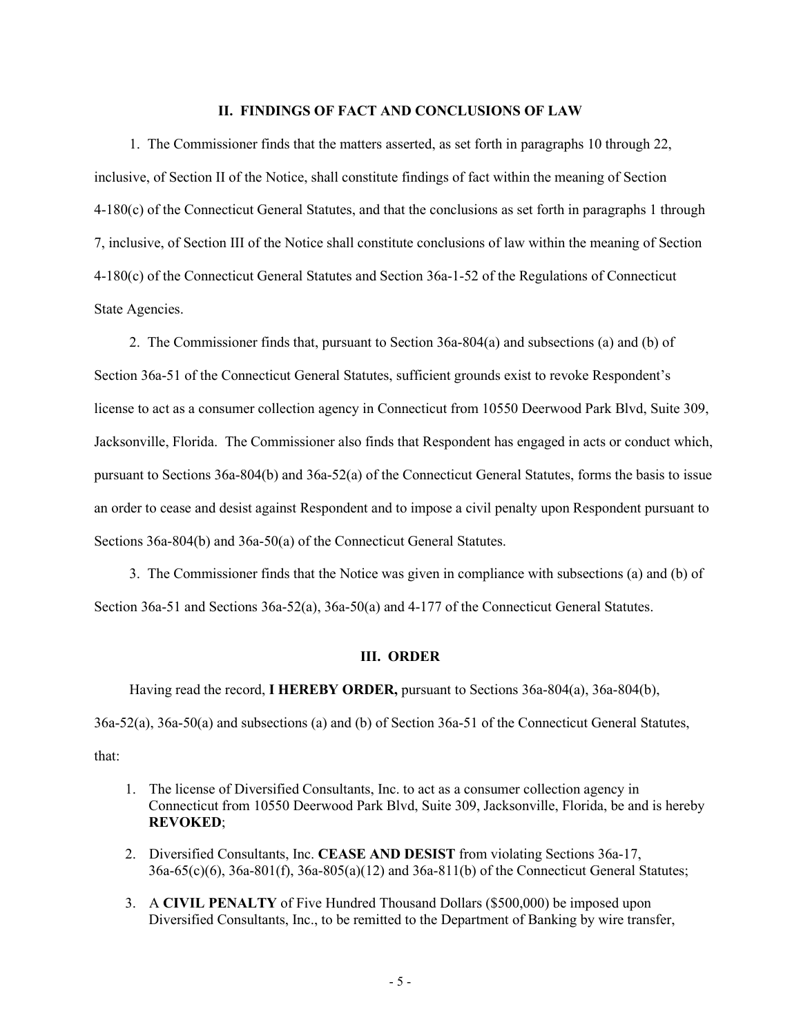#### **II. FINDINGS OF FACT AND CONCLUSIONS OF LAW**

1. The Commissioner finds that the matters asserted, as set forth in paragraphs 10 through 22, inclusive, of Section II of the Notice, shall constitute findings of fact within the meaning of Section 4-180(c) of the Connecticut General Statutes, and that the conclusions as set forth in paragraphs 1 through 7, inclusive, of Section III of the Notice shall constitute conclusions of law within the meaning of Section 4-180(c) of the Connecticut General Statutes and Section 36a-1-52 of the Regulations of Connecticut State Agencies.

2. The Commissioner finds that, pursuant to Section 36a-804(a) and subsections (a) and (b) of Section 36a-51 of the Connecticut General Statutes, sufficient grounds exist to revoke Respondent's license to act as a consumer collection agency in Connecticut from 10550 Deerwood Park Blvd, Suite 309, Jacksonville, Florida. The Commissioner also finds that Respondent has engaged in acts or conduct which, pursuant to Sections 36a-804(b) and 36a-52(a) of the Connecticut General Statutes, forms the basis to issue an order to cease and desist against Respondent and to impose a civil penalty upon Respondent pursuant to Sections 36a-804(b) and 36a-50(a) of the Connecticut General Statutes.

3. The Commissioner finds that the Notice was given in compliance with subsections (a) and (b) of Section 36a-51 and Sections 36a-52(a), 36a-50(a) and 4-177 of the Connecticut General Statutes.

#### **III. ORDER**

Having read the record, **I HEREBY ORDER,** pursuant to Sections 36a-804(a), 36a-804(b),

36a-52(a), 36a-50(a) and subsections (a) and (b) of Section 36a-51 of the Connecticut General Statutes, that:

- 1. The license of Diversified Consultants, Inc. to act as a consumer collection agency in Connecticut from 10550 Deerwood Park Blvd, Suite 309, Jacksonville, Florida, be and is hereby **REVOKED**;
- 2. Diversified Consultants, Inc. **CEASE AND DESIST** from violating Sections 36a-17, 36a-65(c)(6), 36a-801(f), 36a-805(a)(12) and 36a-811(b) of the Connecticut General Statutes;
- 3. A **CIVIL PENALTY** of Five Hundred Thousand Dollars (\$500,000) be imposed upon Diversified Consultants, Inc., to be remitted to the Department of Banking by wire transfer,